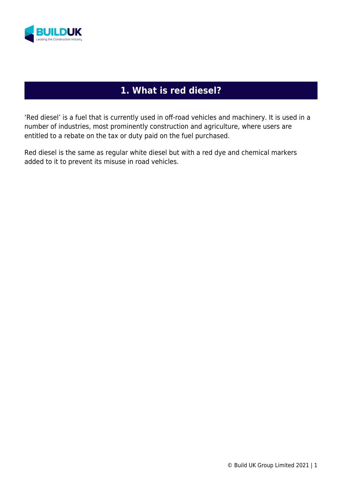

## **1. What is red diesel?**

'Red diesel' is a fuel that is currently used in off-road vehicles and machinery. It is used in a number of industries, most prominently construction and agriculture, where users are entitled to a rebate on the tax or duty paid on the fuel purchased.

Red diesel is the same as regular white diesel but with a red dye and chemical markers added to it to prevent its misuse in road vehicles.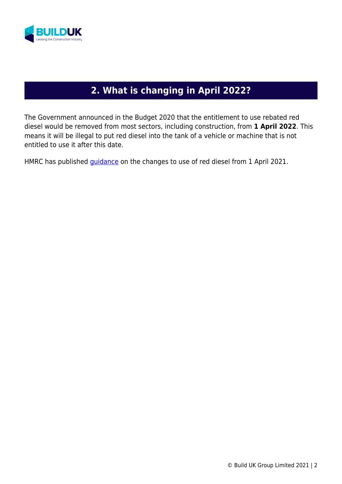

# **2. What is changing in April 2022?**

The Government announced in the Budget 2020 that the entitlement to use rebated red diesel would be removed from most sectors, including construction, from **1 April 2022**. This means it will be illegal to put red diesel into the tank of a vehicle or machine that is not entitled to use it after this date.

HMRC has published *guidance* on the changes to use of red diesel from 1 April 2021.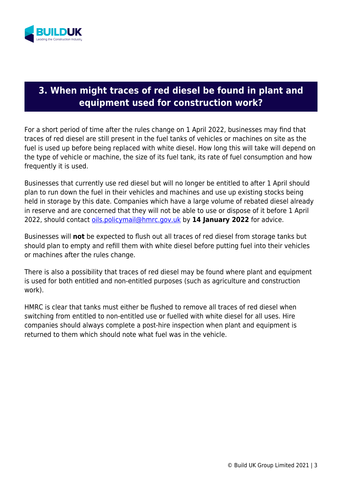

#### **3. When might traces of red diesel be found in plant and equipment used for construction work?**

For a short period of time after the rules change on 1 April 2022, businesses may find that traces of red diesel are still present in the fuel tanks of vehicles or machines on site as the fuel is used up before being replaced with white diesel. How long this will take will depend on the type of vehicle or machine, the size of its fuel tank, its rate of fuel consumption and how frequently it is used.

Businesses that currently use red diesel but will no longer be entitled to after 1 April should plan to run down the fuel in their vehicles and machines and use up existing stocks being held in storage by this date. Companies which have a large volume of rebated diesel already in reserve and are concerned that they will not be able to use or dispose of it before 1 April 2022, should contact oils.policymail@hmrc.gov.uk by **14 January 2022** for advice.

Businesses will **not** be expected to flush out all traces of red diesel from storage tanks but should plan to empty and refill them with white diesel before putting fuel into their vehicles or machines after the rules change.

There is also a possibility that traces of red diesel may be found where plant and equipment is used for both entitled and non-entitled purposes (such as agriculture and construction work).

HMRC is clear that tanks must either be flushed to remove all traces of red diesel when switching from entitled to non-entitled use or fuelled with white diesel for all uses. Hire companies should always complete a post-hire inspection when plant and equipment is returned to them which should note what fuel was in the vehicle.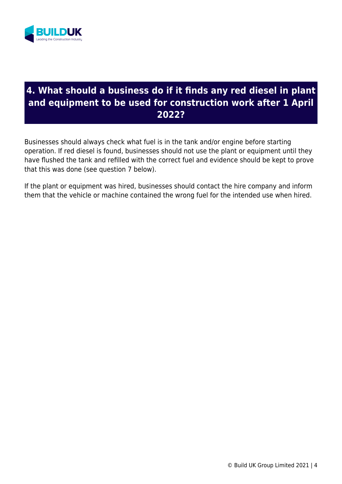

#### **4. What should a business do if it finds any red diesel in plant and equipment to be used for construction work after 1 April 2022?**

Businesses should always check what fuel is in the tank and/or engine before starting operation. If red diesel is found, businesses should not use the plant or equipment until they have flushed the tank and refilled with the correct fuel and evidence should be kept to prove that this was done (see question 7 below).

If the plant or equipment was hired, businesses should contact the hire company and inform them that the vehicle or machine contained the wrong fuel for the intended use when hired.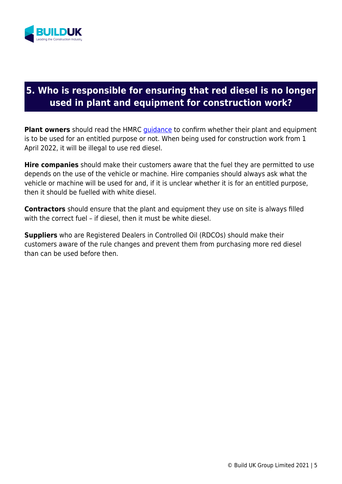

## **5. Who is responsible for ensuring that red diesel is no longer used in plant and equipment for construction work?**

**Plant owners** should read the HMRC quidance to confirm whether their plant and equipment is to be used for an entitled purpose or not. When being used for construction work from 1 April 2022, it will be illegal to use red diesel.

**Hire companies** should make their customers aware that the fuel they are permitted to use depends on the use of the vehicle or machine. Hire companies should always ask what the vehicle or machine will be used for and, if it is unclear whether it is for an entitled purpose, then it should be fuelled with white diesel.

**Contractors** should ensure that the plant and equipment they use on site is always filled with the correct fuel – if diesel, then it must be white diesel.

**Suppliers** who are Registered Dealers in Controlled Oil (RDCOs) should make their customers aware of the rule changes and prevent them from purchasing more red diesel than can be used before then.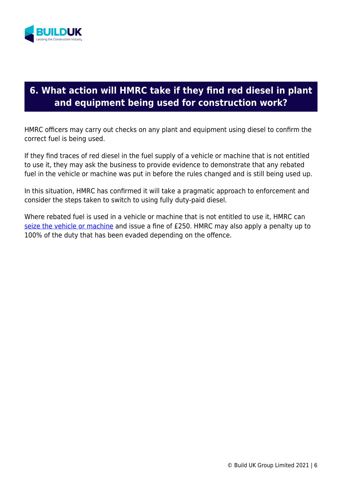

## **6. What action will HMRC take if they find red diesel in plant and equipment being used for construction work?**

HMRC officers may carry out checks on any plant and equipment using diesel to confirm the correct fuel is being used.

If they find traces of red diesel in the fuel supply of a vehicle or machine that is not entitled to use it, they may ask the business to provide evidence to demonstrate that any rebated fuel in the vehicle or machine was put in before the rules changed and is still being used up.

In this situation, HMRC has confirmed it will take a pragmatic approach to enforcement and consider the steps taken to switch to using fully duty-paid diesel.

Where rebated fuel is used in a vehicle or machine that is not entitled to use it, HMRC can seize the vehicle or machine and issue a fine of £250. HMRC may also apply a penalty up to 100% of the duty that has been evaded depending on the offence.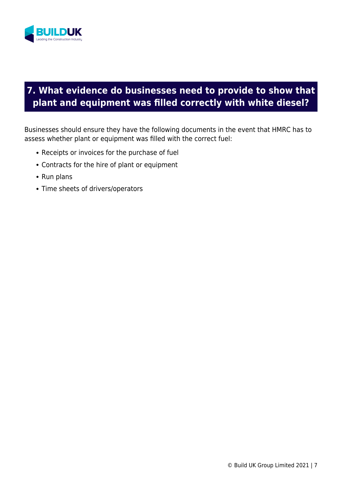

# **7. What evidence do businesses need to provide to show that plant and equipment was filled correctly with white diesel?**

Businesses should ensure they have the following documents in the event that HMRC has to assess whether plant or equipment was filled with the correct fuel:

- Receipts or invoices for the purchase of fuel
- Contracts for the hire of plant or equipment
- Run plans
- Time sheets of drivers/operators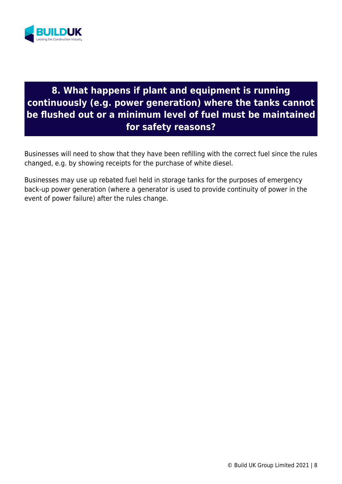

## **8. What happens if plant and equipment is running continuously (e.g. power generation) where the tanks cannot be flushed out or a minimum level of fuel must be maintained for safety reasons?**

Businesses will need to show that they have been refilling with the correct fuel since the rules changed, e.g. by showing receipts for the purchase of white diesel.

Businesses may use up rebated fuel held in storage tanks for the purposes of emergency back-up power generation (where a generator is used to provide continuity of power in the event of power failure) after the rules change.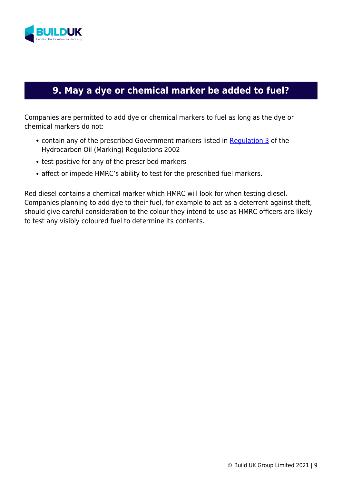

# **9. May a dye or chemical marker be added to fuel?**

Companies are permitted to add dye or chemical markers to fuel as long as the dye or chemical markers do not:

- contain any of the prescribed Government markers listed in Regulation 3 of the Hydrocarbon Oil (Marking) Regulations 2002
- test positive for any of the prescribed markers
- affect or impede HMRC's ability to test for the prescribed fuel markers.

Red diesel contains a chemical marker which HMRC will look for when testing diesel. Companies planning to add dye to their fuel, for example to act as a deterrent against theft, should give careful consideration to the colour they intend to use as HMRC officers are likely to test any visibly coloured fuel to determine its contents.